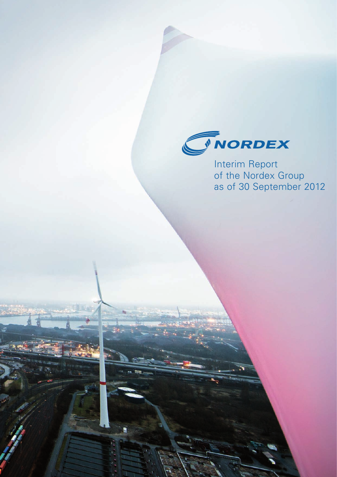

Interim Report of the Nordex Group as of 30 September 2012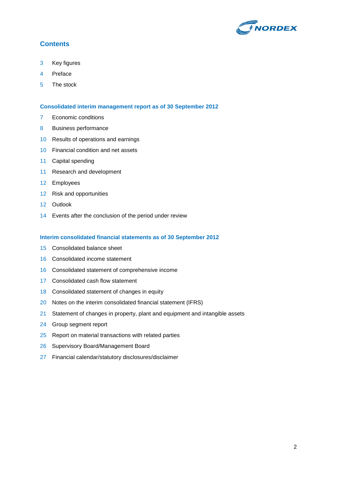

## **Contents**

- Key figures
- Preface
- The stock

#### **Consolidated interim management report as of 30 September 2012**

- 7 Economic conditions
- Business performance
- Results of operations and earnings
- Financial condition and net assets
- Capital spending
- Research and development
- Employees
- Risk and opportunities
- Outlook
- Events after the conclusion of the period under review

#### **Interim consolidated financial statements as of 30 September 2012**

- Consolidated balance sheet
- Consolidated income statement
- Consolidated statement of comprehensive income
- Consolidated cash flow statement
- Consolidated statement of changes in equity
- 20 Notes on the interim consolidated financial statement (IFRS)
- 21 Statement of changes in property, plant and equipment and intangible assets
- Group segment report
- Report on material transactions with related parties
- Supervisory Board/Management Board
- Financial calendar/statutory disclosures/disclaimer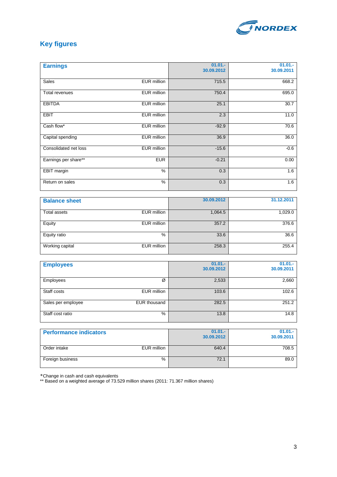

## **Key figures**

| <b>Earnings</b>       |                    | $01.01 -$<br>30.09.2012 | $01.01 -$<br>30.09.2011 |
|-----------------------|--------------------|-------------------------|-------------------------|
| <b>Sales</b>          | <b>EUR</b> million | 715.5                   | 668.2                   |
| <b>Total revenues</b> | <b>EUR</b> million | 750.4                   | 695.0                   |
| <b>EBITDA</b>         | <b>EUR</b> million | 25.1                    | 30.7                    |
| <b>EBIT</b>           | <b>EUR</b> million | 2.3                     | 11.0                    |
| Cash flow*            | <b>EUR</b> million | $-92.9$                 | 70.6                    |
| Capital spending      | <b>EUR</b> million | 36.9                    | 36.0                    |
| Consolidated net loss | <b>EUR</b> million | $-15.6$                 | $-0.6$                  |
| Earnings per share**  | <b>EUR</b>         | $-0.21$                 | 0.00                    |
| <b>EBIT</b> margin    | %                  | 0.3                     | 1.6                     |
| Return on sales       | $\frac{9}{6}$      | 0.3                     | 1.6                     |
|                       |                    |                         |                         |
| <b>Balance sheet</b>  |                    | 30.09.2012              | 31.12.2011              |
| <b>Total assets</b>   | <b>EUR</b> million | 1,064.5                 | 1,029.0                 |
| Equity                | <b>EUR</b> million | 357.2                   | 376.6                   |
| Equity ratio          | $\frac{9}{6}$      | 33.6                    | 36.6                    |
| Working capital       | <b>EUR</b> million | 258.3                   | 255.4                   |
|                       |                    |                         |                         |
| <b>Employees</b>      |                    | $01.01 -$<br>30.09.2012 | $01.01 -$<br>30.09.2011 |
| Employees             | Ø                  | 2,533                   | 2,660                   |
| Staff costs           | <b>EUR</b> million | 103.6                   | 102.6                   |

Sales per employee EUR thousand 282.5 251.2 Staff cost ratio 14.8

Order intake **EUR million** EUR million 640.4 708.5 Foreign business 89.0

**30.09.2012**

| *Change in cash and cash equivalents |  |
|--------------------------------------|--|

**Performance indicators** 

\*\* Based on a weighted average of 73.529 million shares (2011: 71.367 million shares)

**01.01.- 30.09.2011**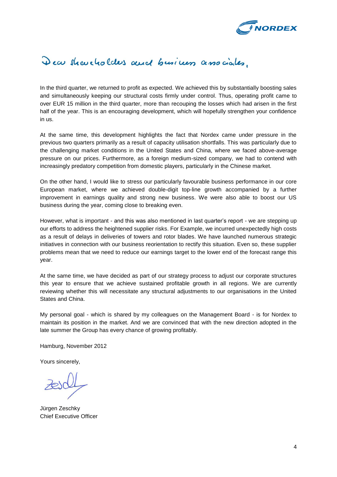

# Dear shareholders and business associates.

In the third quarter, we returned to profit as expected. We achieved this by substantially boosting sales and simultaneously keeping our structural costs firmly under control. Thus, operating profit came to over EUR 15 million in the third quarter, more than recouping the losses which had arisen in the first half of the year. This is an encouraging development, which will hopefully strengthen your confidence in us.

At the same time, this development highlights the fact that Nordex came under pressure in the previous two quarters primarily as a result of capacity utilisation shortfalls. This was particularly due to the challenging market conditions in the United States and China, where we faced above-average pressure on our prices. Furthermore, as a foreign medium-sized company, we had to contend with increasingly predatory competition from domestic players, particularly in the Chinese market.

On the other hand, I would like to stress our particularly favourable business performance in our core European market, where we achieved double-digit top-line growth accompanied by a further improvement in earnings quality and strong new business. We were also able to boost our US business during the year, coming close to breaking even.

However, what is important - and this was also mentioned in last quarter's report - we are stepping up our efforts to address the heightened supplier risks. For Example, we incurred unexpectedly high costs as a result of delays in deliveries of towers and rotor blades. We have launched numerous strategic initiatives in connection with our business reorientation to rectify this situation. Even so, these supplier problems mean that we need to reduce our earnings target to the lower end of the forecast range this year.

At the same time, we have decided as part of our strategy process to adjust our corporate structures this year to ensure that we achieve sustained profitable growth in all regions. We are currently reviewing whether this will necessitate any structural adjustments to our organisations in the United States and China.

My personal goal - which is shared by my colleagues on the Management Board - is for Nordex to maintain its position in the market. And we are convinced that with the new direction adopted in the late summer the Group has every chance of growing profitably.

Hamburg, November 2012

Yours sincerely,

Jürgen Zeschky Chief Executive Officer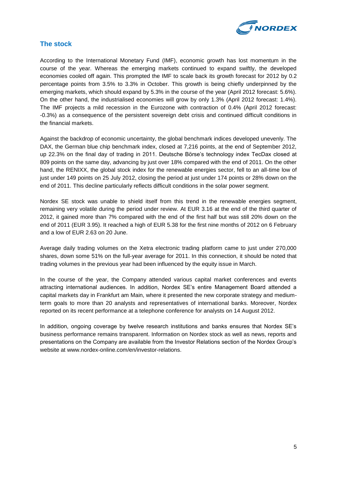

## **The stock**

According to the International Monetary Fund (IMF), economic growth has lost momentum in the course of the year. Whereas the emerging markets continued to expand swiftly, the developed economies cooled off again. This prompted the IMF to scale back its growth forecast for 2012 by 0.2 percentage points from 3.5% to 3.3% in October. This growth is being chiefly underpinned by the emerging markets, which should expand by 5.3% in the course of the year (April 2012 forecast: 5.6%). On the other hand, the industrialised economies will grow by only 1.3% (April 2012 forecast: 1.4%). The IMF projects a mild recession in the Eurozone with contraction of 0.4% (April 2012 forecast: -0.3%) as a consequence of the persistent sovereign debt crisis and continued difficult conditions in the financial markets.

Against the backdrop of economic uncertainty, the global benchmark indices developed unevenly. The DAX, the German blue chip benchmark index, closed at 7,216 points, at the end of September 2012, up 22.3% on the final day of trading in 2011. Deutsche Börse's technology index TecDax closed at 809 points on the same day, advancing by just over 18% compared with the end of 2011. On the other hand, the RENIXX, the global stock index for the renewable energies sector, fell to an all-time low of just under 149 points on 25 July 2012, closing the period at just under 174 points or 28% down on the end of 2011. This decline particularly reflects difficult conditions in the solar power segment.

Nordex SE stock was unable to shield itself from this trend in the renewable energies segment, remaining very volatile during the period under review. At EUR 3.16 at the end of the third quarter of 2012, it gained more than 7% compared with the end of the first half but was still 20% down on the end of 2011 (EUR 3.95). It reached a high of EUR 5.38 for the first nine months of 2012 on 6 February and a low of EUR 2.63 on 20 June.

Average daily trading volumes on the Xetra electronic trading platform came to just under 270,000 shares, down some 51% on the full-year average for 2011. In this connection, it should be noted that trading volumes in the previous year had been influenced by the equity issue in March.

In the course of the year, the Company attended various capital market conferences and events attracting international audiences. In addition, Nordex SE's entire Management Board attended a capital markets day in Frankfurt am Main, where it presented the new corporate strategy and mediumterm goals to more than 20 analysts and representatives of international banks. Moreover, Nordex reported on its recent performance at a telephone conference for analysts on 14 August 2012.

In addition, ongoing coverage by twelve research institutions and banks ensures that Nordex SE's business performance remains transparent. Information on Nordex stock as well as news, reports and presentations on the Company are available from the Investor Relations section of the Nordex Group's website at www.nordex-online.com/en/investor-relations.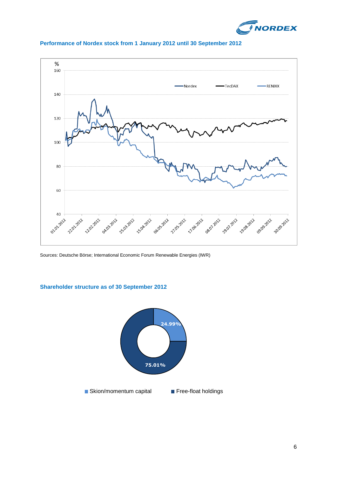



### **Performance of Nordex stock from 1 January 2012 until 30 September 2012**

Sources: Deutsche Börse; International Economic Forum Renewable Energies (IWR)

#### **Shareholder structure as of 30 September 2012**

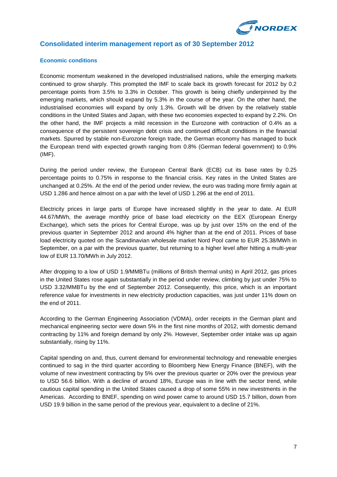

## **Consolidated interim management report as of 30 September 2012**

#### **Economic conditions**

Economic momentum weakened in the developed industrialised nations, while the emerging markets continued to grow sharply. This prompted the IMF to scale back its growth forecast for 2012 by 0.2 percentage points from 3.5% to 3.3% in October. This growth is being chiefly underpinned by the emerging markets, which should expand by 5.3% in the course of the year. On the other hand, the industrialised economies will expand by only 1.3%. Growth will be driven by the relatively stable conditions in the United States and Japan, with these two economies expected to expand by 2.2%. On the other hand, the IMF projects a mild recession in the Eurozone with contraction of 0.4% as a consequence of the persistent sovereign debt crisis and continued difficult conditions in the financial markets. Spurred by stable non-Eurozone foreign trade, the German economy has managed to buck the European trend with expected growth ranging from 0.8% (German federal government) to 0.9% (IMF).

During the period under review, the European Central Bank (ECB) cut its base rates by 0.25 percentage points to 0.75% in response to the financial crisis. Key rates in the United States are unchanged at 0.25%. At the end of the period under review, the euro was trading more firmly again at USD 1.286 and hence almost on a par with the level of USD 1.296 at the end of 2011.

Electricity prices in large parts of Europe have increased slightly in the year to date. At EUR 44.67/MWh, the average monthly price of base load electricity on the EEX (European Energy Exchange), which sets the prices for Central Europe, was up by just over 15% on the end of the previous quarter in September 2012 and around 4% higher than at the end of 2011. Prices of base load electricity quoted on the Scandinavian wholesale market Nord Pool came to EUR 25.38/MWh in September, on a par with the previous quarter, but returning to a higher level after hitting a multi-year low of EUR 13.70/MWh in July 2012.

After dropping to a low of USD 1.9/MMBTu (millions of British thermal units) in April 2012, gas prices in the United States rose again substantially in the period under review, climbing by just under 75% to USD 3.32/MMBTu by the end of September 2012. Consequently, this price, which is an important reference value for investments in new electricity production capacities, was just under 11% down on the end of 2011.

According to the German Engineering Association (VDMA), order receipts in the German plant and mechanical engineering sector were down 5% in the first nine months of 2012, with domestic demand contracting by 11% and foreign demand by only 2%. However, September order intake was up again substantially, rising by 11%.

Capital spending on and, thus, current demand for environmental technology and renewable energies continued to sag in the third quarter according to Bloomberg New Energy Finance (BNEF), with the volume of new investment contracting by 5% over the previous quarter or 20% over the previous year to USD 56.6 billion. With a decline of around 18%, Europe was in line with the sector trend, while cautious capital spending in the United States caused a drop of some 55% in new investments in the Americas. According to BNEF, spending on wind power came to around USD 15.7 billion, down from USD 19.9 billion in the same period of the previous year, equivalent to a decline of 21%.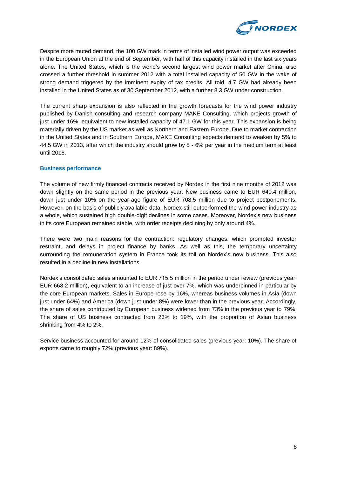

Despite more muted demand, the 100 GW mark in terms of installed wind power output was exceeded in the European Union at the end of September, with half of this capacity installed in the last six years alone. The United States, which is the world's second largest wind power market after China, also crossed a further threshold in summer 2012 with a total installed capacity of 50 GW in the wake of strong demand triggered by the imminent expiry of tax credits. All told, 4.7 GW had already been installed in the United States as of 30 September 2012, with a further 8.3 GW under construction.

The current sharp expansion is also reflected in the growth forecasts for the wind power industry published by Danish consulting and research company MAKE Consulting, which projects growth of just under 16%, equivalent to new installed capacity of 47.1 GW for this year. This expansion is being materially driven by the US market as well as Northern and Eastern Europe. Due to market contraction in the United States and in Southern Europe, MAKE Consulting expects demand to weaken by 5% to 44.5 GW in 2013, after which the industry should grow by 5 - 6% per year in the medium term at least until 2016.

#### **Business performance**

The volume of new firmly financed contracts received by Nordex in the first nine months of 2012 was down slightly on the same period in the previous year. New business came to EUR 640.4 million, down just under 10% on the year-ago figure of EUR 708.5 million due to project postponements. However, on the basis of publicly available data, Nordex still outperformed the wind power industry as a whole, which sustained high double-digit declines in some cases. Moreover, Nordex's new business in its core European remained stable, with order receipts declining by only around 4%.

There were two main reasons for the contraction: regulatory changes, which prompted investor restraint, and delays in project finance by banks. As well as this, the temporary uncertainty surrounding the remuneration system in France took its toll on Nordex's new business. This also resulted in a decline in new installations.

Nordex's consolidated sales amounted to EUR 715.5 million in the period under review (previous year: EUR 668.2 million), equivalent to an increase of just over 7%, which was underpinned in particular by the core European markets. Sales in Europe rose by 16%, whereas business volumes in Asia (down just under 64%) and America (down just under 8%) were lower than in the previous year. Accordingly, the share of sales contributed by European business widened from 73% in the previous year to 79%. The share of US business contracted from 23% to 19%, with the proportion of Asian business shrinking from 4% to 2%.

Service business accounted for around 12% of consolidated sales (previous year: 10%). The share of exports came to roughly 72% (previous year: 89%).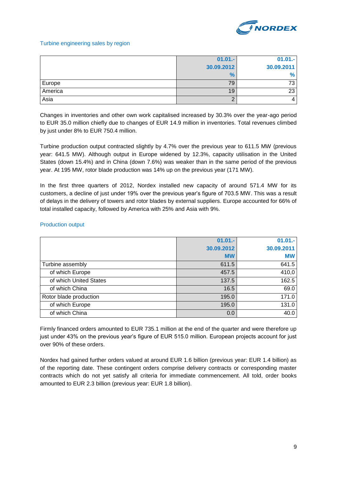

#### Turbine engineering sales by region

|         | $01.01 -$     | $01.01 -$  |
|---------|---------------|------------|
|         | 30.09.2012    | 30.09.2011 |
|         | $\frac{9}{6}$ | %          |
| Europe  | 79            | 73 ı       |
| America | 19            | 23         |
| Asia    |               |            |

Changes in inventories and other own work capitalised increased by 30.3% over the year-ago period to EUR 35.0 million chiefly due to changes of EUR 14.9 million in inventories. Total revenues climbed by just under 8% to EUR 750.4 million.

Turbine production output contracted slightly by 4.7% over the previous year to 611.5 MW (previous year: 641.5 MW). Although output in Europe widened by 12.3%, capacity utilisation in the United States (down 15.4%) and in China (down 7.6%) was weaker than in the same period of the previous year. At 195 MW, rotor blade production was 14% up on the previous year (171 MW).

In the first three quarters of 2012, Nordex installed new capacity of around 571.4 MW for its customers, a decline of just under 19% over the previous year's figure of 703.5 MW. This was a result of delays in the delivery of towers and rotor blades by external suppliers. Europe accounted for 66% of total installed capacity, followed by America with 25% and Asia with 9%.

#### Production output

|                        | $01.01 -$  | $01.01 -$  |
|------------------------|------------|------------|
|                        | 30.09.2012 | 30.09.2011 |
|                        | <b>MW</b>  | <b>MW</b>  |
| Turbine assembly       | 611.5      | 641.5      |
| of which Europe        | 457.5      | 410,0      |
| of which United States | 137.5      | 162.5      |
| of which China         | 16.5       | 69.0       |
| Rotor blade production | 195.0      | 171.0      |
| of which Europe        | 195.0      | 131.0      |
| of which China         | 0.0        | 40.0       |

Firmly financed orders amounted to EUR 735.1 million at the end of the quarter and were therefore up just under 43% on the previous year's figure of EUR 515.0 million. European projects account for just over 90% of these orders.

Nordex had gained further orders valued at around EUR 1.6 billion (previous year: EUR 1.4 billion) as of the reporting date. These contingent orders comprise delivery contracts or corresponding master contracts which do not yet satisfy all criteria for immediate commencement. All told, order books amounted to EUR 2.3 billion (previous year: EUR 1.8 billion).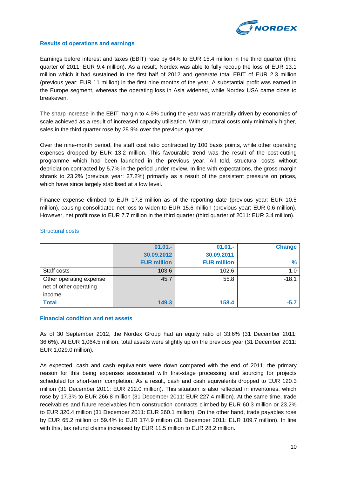

#### **Results of operations and earnings**

Earnings before interest and taxes (EBIT) rose by 64% to EUR 15.4 million in the third quarter (third quarter of 2011: EUR 9.4 million). As a result, Nordex was able to fully recoup the loss of EUR 13.1 million which it had sustained in the first half of 2012 and generate total EBIT of EUR 2.3 million (previous year: EUR 11 million) in the first nine months of the year. A substantial profit was earned in the Europe segment, whereas the operating loss in Asia widened, while Nordex USA came close to breakeven.

The sharp increase in the EBIT margin to 4.9% during the year was materially driven by economies of scale achieved as a result of increased capacity utilisation. With structural costs only minimally higher, sales in the third quarter rose by 28.9% over the previous quarter.

Over the nine-month period, the staff cost ratio contracted by 100 basis points, while other operating expenses dropped by EUR 13.2 million. This favourable trend was the result of the cost-cutting programme which had been launched in the previous year. All told, structural costs without depriciation contracted by 5.7% in the period under review. In line with expectations, the gross margin shrank to 23.2% (previous year: 27.2%) primarily as a result of the persistent pressure on prices, which have since largely stabilised at a low level.

Finance expense climbed to EUR 17.8 million as of the reporting date (previous year: EUR 10.5 million), causing consolidated net loss to widen to EUR 15.6 million (previous year: EUR 0.6 million). However, net profit rose to EUR 7.7 million in the third quarter (third quarter of 2011: EUR 3.4 million).

|                         | $01.01 -$          | $01.01 -$          | <b>Change</b> |
|-------------------------|--------------------|--------------------|---------------|
|                         | 30.09.2012         | 30.09.2011         |               |
|                         | <b>EUR million</b> | <b>EUR million</b> | $\frac{9}{6}$ |
| Staff costs             | 103.6              | 102.6              | 1.0           |
| Other operating expense | 45.7               | 55.8               | $-18.1$       |
| net of other operating  |                    |                    |               |
| income                  |                    |                    |               |
| <b>Total</b>            | 149.3              | 158.4              | $-5.7$        |

#### Structural costs

#### **Financial condition and net assets**

As of 30 September 2012, the Nordex Group had an equity ratio of 33.6% (31 December 2011: 36.6%). At EUR 1,064.5 million, total assets were slightly up on the previous year (31 December 2011: EUR 1,029.0 million).

As expected, cash and cash equivalents were down compared with the end of 2011, the primary reason for this being expenses associated with first-stage processing and sourcing for projects scheduled for short-term completion. As a result, cash and cash equivalents dropped to EUR 120.3 million (31 December 2011: EUR 212.0 million). This situation is also reflected in inventories, which rose by 17.3% to EUR 266.8 million (31 December 2011: EUR 227.4 million). At the same time, trade receivables and future receivables from construction contracts climbed by EUR 60.3 million or 23.2% to EUR 320.4 million (31 December 2011: EUR 260.1 million). On the other hand, trade payables rose by EUR 65.2 million or 59.4% to EUR 174.9 million (31 December 2011: EUR 109.7 million). In line with this, tax refund claims increased by EUR 11.5 million to EUR 28.2 million.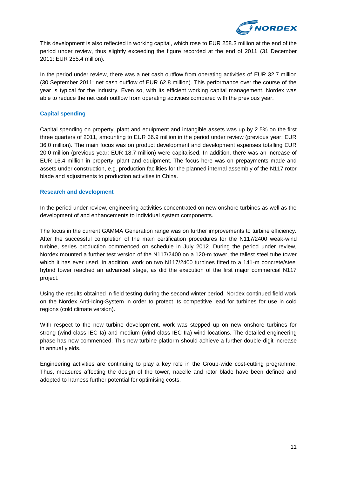

This development is also reflected in working capital, which rose to EUR 258.3 million at the end of the period under review, thus slightly exceeding the figure recorded at the end of 2011 (31 December 2011: EUR 255.4 million).

In the period under review, there was a net cash outflow from operating activities of EUR 32.7 million (30 September 2011: net cash outflow of EUR 62.8 million). This performance over the course of the year is typical for the industry. Even so, with its efficient working capital management, Nordex was able to reduce the net cash outflow from operating activities compared with the previous year.

#### **Capital spending**

Capital spending on property, plant and equipment and intangible assets was up by 2.5% on the first three quarters of 2011, amounting to EUR 36.9 million in the period under review (previous year: EUR 36.0 million). The main focus was on product development and development expenses totalling EUR 20.0 million (previous year: EUR 18.7 million) were capitalised. In addition, there was an increase of EUR 16.4 million in property, plant and equipment. The focus here was on prepayments made and assets under construction, e.g. production facilities for the planned internal assembly of the N117 rotor blade and adjustments to production activities in China.

#### **Research and development**

In the period under review, engineering activities concentrated on new onshore turbines as well as the development of and enhancements to individual system components.

The focus in the current GAMMA Generation range was on further improvements to turbine efficiency. After the successful completion of the main certification procedures for the N117/2400 weak-wind turbine, series production commenced on schedule in July 2012. During the period under review, Nordex mounted a further test version of the N117/2400 on a 120-m tower, the tallest steel tube tower which it has ever used. In addition, work on two N117/2400 turbines fitted to a 141-m concrete/steel hybrid tower reached an advanced stage, as did the execution of the first major commercial N117 project.

Using the results obtained in field testing during the second winter period, Nordex continued field work on the Nordex Anti-Icing-System in order to protect its competitive lead for turbines for use in cold regions (cold climate version).

With respect to the new turbine development, work was stepped up on new onshore turbines for strong (wind class IEC Ia) and medium (wind class IEC IIa) wind locations. The detailed engineering phase has now commenced. This new turbine platform should achieve a further double-digit increase in annual yields.

Engineering activities are continuing to play a key role in the Group-wide cost-cutting programme. Thus, measures affecting the design of the tower, nacelle and rotor blade have been defined and adopted to harness further potential for optimising costs.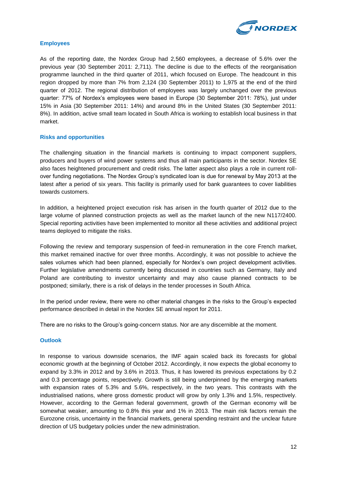

#### **Employees**

As of the reporting date, the Nordex Group had 2,560 employees, a decrease of 5.6% over the previous year (30 September 2011: 2,711). The decline is due to the effects of the reorganisation programme launched in the third quarter of 2011, which focused on Europe. The headcount in this region dropped by more than 7% from 2,124 (30 September 2011) to 1,975 at the end of the third quarter of 2012. The regional distribution of employees was largely unchanged over the previous quarter: 77% of Nordex's employees were based in Europe (30 September 2011: 78%), just under 15% in Asia (30 September 2011: 14%) and around 8% in the United States (30 September 2011: 8%). In addition, active small team located in South Africa is working to establish local business in that market.

#### **Risks and opportunities**

The challenging situation in the financial markets is continuing to impact component suppliers, producers and buyers of wind power systems and thus all main participants in the sector. Nordex SE also faces heightened procurement and credit risks. The latter aspect also plays a role in current rollover funding negotiations. The Nordex Group's syndicated loan is due for renewal by May 2013 at the latest after a period of six years. This facility is primarily used for bank guarantees to cover liabilities towards customers.

In addition, a heightened project execution risk has arisen in the fourth quarter of 2012 due to the large volume of planned construction projects as well as the market launch of the new N117/2400. Special reporting activities have been implemented to monitor all these activities and additional project teams deployed to mitigate the risks.

Following the review and temporary suspension of feed-in remuneration in the core French market, this market remained inactive for over three months. Accordingly, it was not possible to achieve the sales volumes which had been planned, especially for Nordex's own project development activities. Further legislative amendments currently being discussed in countries such as Germany, Italy and Poland are contributing to investor uncertainty and may also cause planned contracts to be postponed; similarly, there is a risk of delays in the tender processes in South Africa.

In the period under review, there were no other material changes in the risks to the Group's expected performance described in detail in the Nordex SE annual report for 2011.

There are no risks to the Group's going-concern status. Nor are any discernible at the moment.

#### **Outlook**

In response to various downside scenarios, the IMF again scaled back its forecasts for global economic growth at the beginning of October 2012. Accordingly, it now expects the global economy to expand by 3.3% in 2012 and by 3.6% in 2013. Thus, it has lowered its previous expectations by 0.2 and 0.3 percentage points, respectively. Growth is still being underpinned by the emerging markets with expansion rates of 5.3% and 5.6%, respectively, in the two years. This contrasts with the industrialised nations, where gross domestic product will grow by only 1.3% and 1.5%, respectively. However, according to the German federal government, growth of the German economy will be somewhat weaker, amounting to 0.8% this year and 1% in 2013. The main risk factors remain the Eurozone crisis, uncertainty in the financial markets, general spending restraint and the unclear future direction of US budgetary policies under the new administration.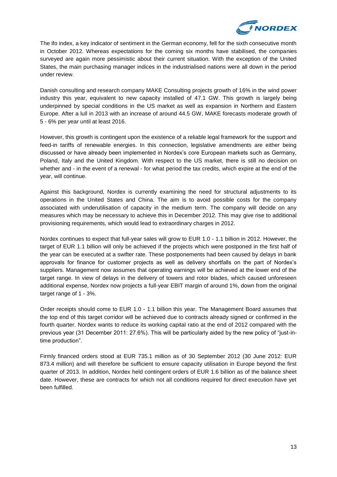

The ifo index, a key indicator of sentiment in the German economy, fell for the sixth consecutive month in October 2012. Whereas expectations for the coming six months have stabilised, the companies surveyed are again more pessimistic about their current situation. With the exception of the United States, the main purchasing manager indices in the industrialised nations were all down in the period under review.

Danish consulting and research company MAKE Consulting projects growth of 16% in the wind power industry this year, equivalent to new capacity installed of 47.1 GW. This growth is largely being underpinned by special conditions in the US market as well as expansion in Northern and Eastern Europe. After a lull in 2013 with an increase of around 44.5 GW, MAKE forecasts moderate growth of 5 - 6% per year until at least 2016.

However, this growth is contingent upon the existence of a reliable legal framework for the support and feed-in tariffs of renewable energies. In this connection, legislative amendments are either being discussed or have already been implemented in Nordex's core European markets such as Germany, Poland, Italy and the United Kingdom. With respect to the US market, there is still no decision on whether and - in the event of a renewal - for what period the tax credits, which expire at the end of the year, will continue.

Against this background, Nordex is currently examining the need for structural adjustments to its operations in the United States and China. The aim is to avoid possible costs for the company associated with underutilisation of capacity in the medium term. The company will decide on any measures which may be necessary to achieve this in December 2012. This may give rise to additional provisioning requirements, which would lead to extraordinary charges in 2012.

Nordex continues to expect that full-year sales will grow to EUR 1.0 - 1.1 billion in 2012. However, the target of EUR 1.1 billion will only be achieved if the projects which were postponed in the first half of the year can be executed at a swifter rate. These postponements had been caused by delays in bank approvals for finance for customer projects as well as delivery shortfalls on the part of Nordex's suppliers. Management now assumes that operating earnings will be achieved at the lower end of the target range. In view of delays in the delivery of towers and rotor blades, which caused unforeseen additional expense, Nordex now projects a full-year EBIT margin of around 1%, down from the original target range of 1 - 3%.

Order receipts should come to EUR 1.0 - 1.1 billion this year. The Management Board assumes that the top end of this target corridor will be achieved due to contracts already signed or confirmed in the fourth quarter. Nordex wants to reduce its working capital ratio at the end of 2012 compared with the previous year (31 December 2011: 27.6%). This will be particularly aided by the new policy of "just-intime production".

Firmly financed orders stood at EUR 735.1 million as of 30 September 2012 (30 June 2012: EUR 873.4 million) and will therefore be sufficient to ensure capacity utilisation in Europe beyond the first quarter of 2013. In addition, Nordex held contingent orders of EUR 1.6 billion as of the balance sheet date. However, these are contracts for which not all conditions required for direct execution have yet been fulfilled.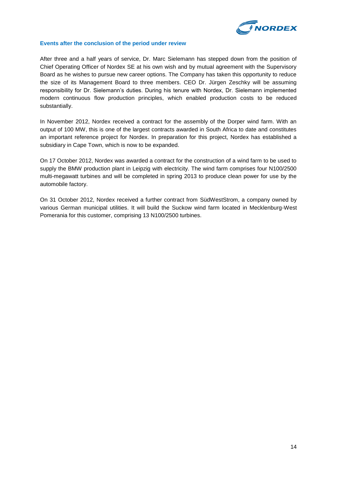

#### **Events after the conclusion of the period under review**

After three and a half years of service, Dr. Marc Sielemann has stepped down from the position of Chief Operating Officer of Nordex SE at his own wish and by mutual agreement with the Supervisory Board as he wishes to pursue new career options. The Company has taken this opportunity to reduce the size of its Management Board to three members. CEO Dr. Jürgen Zeschky will be assuming responsibility for Dr. Sielemann's duties. During his tenure with Nordex, Dr. Sielemann implemented modern continuous flow production principles, which enabled production costs to be reduced substantially.

In November 2012, Nordex received a contract for the assembly of the Dorper wind farm. With an output of 100 MW, this is one of the largest contracts awarded in South Africa to date and constitutes an important reference project for Nordex. In preparation for this project, Nordex has established a subsidiary in Cape Town, which is now to be expanded.

On 17 October 2012, Nordex was awarded a contract for the construction of a wind farm to be used to supply the BMW production plant in Leipzig with electricity. The wind farm comprises four N100/2500 multi-megawatt turbines and will be completed in spring 2013 to produce clean power for use by the automobile factory.

On 31 October 2012, Nordex received a further contract from SüdWestStrom, a company owned by various German municipal utilities. It will build the Suckow wind farm located in Mecklenburg-West Pomerania for this customer, comprising 13 N100/2500 turbines.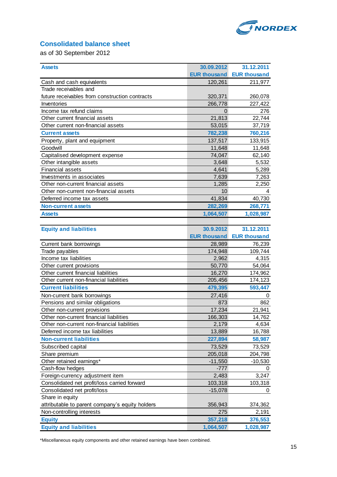

## **Consolidated balance sheet**

as of 30 September 2012

| <b>Assets</b>                                   | 30.09.2012          | 31.12.2011          |
|-------------------------------------------------|---------------------|---------------------|
|                                                 | <b>EUR thousand</b> | <b>EUR thousand</b> |
| Cash and cash equivalents                       | 120,261             | 211,977             |
| Trade receivables and                           |                     |                     |
| future receivables from construction contracts  | 320,371             | 260,078             |
| Inventories                                     | 266,778             | 227,422             |
| Income tax refund claims                        | 0                   | 276                 |
| Other current financial assets                  | 21,813              | 22,744              |
| Other current non-financial assets              | 53,015              | 37,719              |
| <b>Current assets</b>                           | 782,238             | 760,216             |
| Property, plant and equipment                   | 137,517             | 133,915             |
| Goodwill                                        | 11,648              | 11,648              |
| Capitalised development expense                 | 74,047              | 62,140              |
| Other intangible assets                         | 3,648               | 5,532               |
| <b>Financial assets</b>                         | 4,641               | 5,289               |
| Investments in associates                       | 7,639               | 7,263               |
| Other non-current financial assets              | 1,285               | 2,250               |
| Other non-current non-financial assets          | 10                  | 4                   |
| Deferred income tax assets                      | 41,834              | 40,730              |
| <b>Non-current assets</b>                       | 282,269             | 268,771             |
| <b>Assets</b>                                   | 1,064,507           | 1,028,987           |
|                                                 |                     |                     |
| <b>Equity and liabilities</b>                   | 30.9.2012           | 31.12.2011          |
|                                                 | <b>EUR thousand</b> | <b>EUR thousand</b> |
| Current bank borrowings                         | 28,989              | 76,239              |
| Trade payables                                  | 174,948             | 109,744             |
| Income tax liabilities                          | 2,962               | 4,315               |
| Other current provisions                        | 50,770              | 54,064              |
| Other current financial liabilities             | 16,270              | 174,962             |
| Other current non-financial liabilities         | 205,456             | 174,123             |
| <b>Current liabilities</b>                      | 479,395             | 593,447             |
| Non-current bank borrowings                     | 27,416              | 0                   |
| Pensions and similar obligations                | 873                 | 862                 |
| Other non-current provisions                    | 17,234              | 21,941              |
| Other non-current financial liabilities         | 166,303             | 14,762              |
| Other non-current non-financial liabilities     | 2,179               | 4,634               |
| Deferred income tax liabilities                 | 13,889              | 16,788              |
| <b>Non-current liabilities</b>                  | 227,894             | 58,987              |
| Subscribed capital                              | 73,529              | 73,529              |
| Share premium                                   | 205,018             | 204,798             |
| Other retained earnings*                        | $-11,550$           | $-10,530$           |
| Cash-flow hedges                                | $-777$              | 0                   |
| Foreign-currency adjustment item                | 2,483               | 3,247               |
| Consolidated net profit/loss carried forward    | 103,318             | 103,318             |
| Consolidated net profit/loss                    | $-15,078$           | 0                   |
| Share in equity                                 |                     |                     |
| attributable to parent company's equity holders | 356,943             | 374,362             |
| Non-controlling interests                       | 275                 | 2,191               |
| <b>Equity</b>                                   | 357,218             | 376,553             |
| <b>Equity and liabilities</b>                   | 1,064,507           | 1,028,987           |

\*Miscellaneous equity components and other retained earnings have been combined.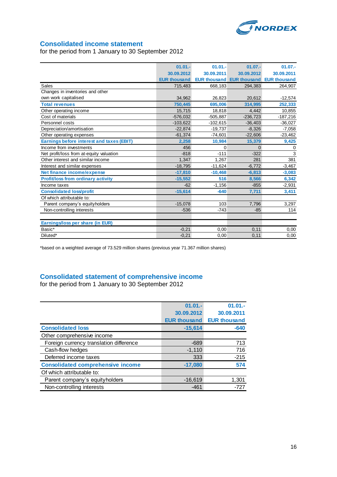

## **Consolidated income statement**

for the period from 1 January to 30 September 2012

|                                                  | $01.01 -$           | $01.01 -$  | $01.07 -$                                     | $01.07 -$  |
|--------------------------------------------------|---------------------|------------|-----------------------------------------------|------------|
|                                                  | 30.09.2012          | 30.09.2011 | 30.09.2012                                    | 30.09.2011 |
|                                                  | <b>EUR thousand</b> |            | <b>EUR thousand EUR thousand EUR thousand</b> |            |
| Sales                                            | 715,483             | 668,183    | 294,383                                       | 264,907    |
| Changes in inventories and other                 |                     |            |                                               |            |
| own work capitalised                             | 34.962              | 26,823     | 20.612                                        | $-12,574$  |
| <b>Total revenues</b>                            | 750,445             | 695,006    | 314,995                                       | 252,333    |
| Other operating income                           | 15,715              | 18,818     | 4,442                                         | 10,855     |
| Cost of materials                                | $-576.032$          | $-505,887$ | $-236.723$                                    | $-187,216$ |
| Personnel costs                                  | $-103,622$          | $-102,615$ | $-36,403$                                     | $-36,027$  |
| Depreciation/amortisation                        | $-22.874$           | $-19,737$  | $-8,326$                                      | $-7,058$   |
| Other operating expenses                         | $-61,374$           | $-74,601$  | $-22,606$                                     | $-23,462$  |
| <b>Earnings before interest and taxes (EBIT)</b> | 2,258               | 10,984     | 15,379                                        | 9,425      |
| Income from investments                          | 456                 | 0          | $\Omega$                                      | 0          |
| Net profit/loss from at-equity valuation         | $-818$              | $-111$     | $-322$                                        | 3          |
| Other interest and similar income                | 1.347               | 1.267      | 281                                           | 381        |
| Interest and similar expenses                    | $-18,795$           | $-11,624$  | $-6,772$                                      | $-3,467$   |
| Net finance income/expense                       | $-17,810$           | $-10.468$  | $-6.813$                                      | $-3,083$   |
| <b>Profit/loss from ordinary activity</b>        | $-15,552$           | 516        | 8,566                                         | 6,342      |
| Income taxes                                     | $-62$               | $-1,156$   | $-855$                                        | $-2,931$   |
| <b>Consolidated loss/profit</b>                  | $-15,614$           | $-640$     | 7,711                                         | 3,411      |
| Of which attributable to:                        |                     |            |                                               |            |
| Parent company's equityholders                   | $-15,078$           | 103        | 7,796                                         | 3,297      |
| Non-controlling interests                        | $-536$              | $-743$     | $-85$                                         | 114        |
|                                                  |                     |            |                                               |            |
| Earnings/loss per share (in EUR)                 |                     |            |                                               |            |
| Basic*                                           | $-0,21$             | 0,00       | 0,11                                          | 0,00       |
| Diluted*                                         | $-0,21$             | 0,00       | 0,11                                          | 0,00       |

\*based on a weighted average of 73.529 million shares (previous year 71.367 million shares)

## **Consolidated statement of comprehensive income**

for the period from 1 January to 30 September 2012

|                                          | $01.01 -$           | $01.01 -$           |
|------------------------------------------|---------------------|---------------------|
|                                          | 30.09.2012          | 30.09.2011          |
|                                          | <b>EUR thousand</b> | <b>EUR thousand</b> |
| <b>Consolidated loss</b>                 | $-15,614$           | $-640$              |
| Other comprehensive income               |                     |                     |
| Foreign currency translation difference  | $-689$              | 713                 |
| Cash-flow hedges                         | $-1,110$            | 716                 |
| Deferred income taxes                    | 333                 | $-215$              |
| <b>Consolidated comprehensive income</b> | $-17,080$           | 574                 |
| Of which attributable to:                |                     |                     |
| Parent company's equityholders           | $-16,619$           | 1,301               |
| Non-controlling interests                | $-461$              | -727                |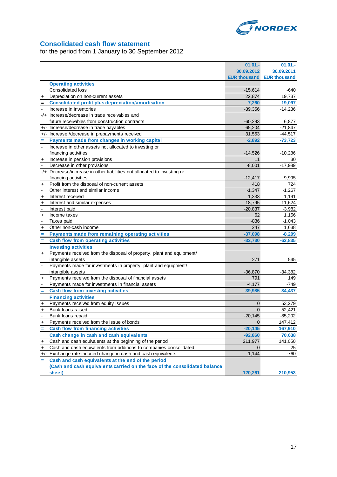

## **Consolidated cash flow statement**

for the period from 1 January to 30 September 2012

|                          |                                                                            | 01.01.              | $01.01 -$           |
|--------------------------|----------------------------------------------------------------------------|---------------------|---------------------|
|                          |                                                                            | 30.09.2012          | 30.09.2011          |
|                          |                                                                            | <b>EUR thousand</b> | <b>EUR thousand</b> |
|                          | <b>Operating activities</b>                                                |                     |                     |
|                          | Consolidated loss                                                          | $-15,614$           | $-640$              |
| +                        | Depreciation on non-current assets                                         | 22,874              | 19,737              |
| $\qquad \qquad =$        | <b>Consolidated profit plus depreciation/amortisation</b>                  | 7,260               | 19,097              |
|                          | Increase in inventories                                                    | $-39,356$           | $-14,236$           |
|                          | -/+ Increase/decrease in trade receivables and                             |                     |                     |
|                          | future receivables from construction contracts                             | $-60,293$           | 6,877               |
| $+/-$                    | Increase/decrease in trade payables                                        | 65,204              | $-21,847$           |
| $+/-$                    | Increase /decrease in prepayments received                                 | 31,553              | $-44,517$           |
| Ξ                        | Payments made from changes in working capital                              | $-2,892$            | $-73,723$           |
| $\overline{\phantom{a}}$ | Increase in other assets not allocated to investing or                     |                     |                     |
|                          | financing activities                                                       | $-14,526$           | $-10,286$           |
| +                        | Increase in pension provisions                                             | 11                  | 30                  |
|                          | Decrease in other provisions                                               | $-8,001$            | $-17,989$           |
|                          | -/+ Decrease/increase in other liabilities not allocated to investing or   |                     |                     |
|                          | financing activities                                                       | $-12,417$           | 9,995               |
| $\ddot{}$                | Profit from the disposal of non-current assets                             | 418                 | 724                 |
|                          | Other interest and similar income                                          | $-1,347$            | $-1,267$            |
| +                        | Interest received                                                          | 1,333               | 1,191               |
| $\ddot{}$                | Interest and similar expenses                                              | 18,795              | 11,624              |
| $\blacksquare$           | Interest paid                                                              | $-20.837$           | $-3,982$            |
| $\pmb{+}$                | Income taxes                                                               | 62                  | 1,156               |
|                          | Taxes paid                                                                 | $-836$              | $-1,043$            |
| $\overline{+}$           | Other non-cash income                                                      | 247                 | 1,638               |
| Ξ                        | Payments made from remaining operating activities                          | $-37,098$           | $-8,209$            |
| Ξ                        | <b>Cash flow from operating activities</b>                                 | $-32,730$           | $-62,835$           |
|                          | <b>Investing activities</b>                                                |                     |                     |
| $\ddot{}$                | Payments received from the disposal of property, plant and equipment/      |                     |                     |
|                          | intangible assets                                                          | 271                 | 545                 |
|                          | Payments made for investments in property, plant and equipment/            |                     |                     |
|                          | intangible assets                                                          | $-36,870$           | $-34,382$           |
|                          | Payments received from the disposal of financial assets                    | 791                 | 149                 |
|                          | Payments made for investments in financial assets                          | $-4,177$            | $-749$              |
|                          | <b>Cash flow from investing activities</b>                                 | $-39,985$           | $-34,437$           |
|                          | <b>Financing activities</b>                                                |                     |                     |
| +                        | Payments received from equity issues                                       | 0                   | 53,279              |
| +                        | Bank loans raised                                                          | $\mathbf 0$         | 52,421              |
|                          | Bank loans repaid                                                          | $-20,145$           | $-85,202$           |
| +                        | Payments received from the issue of bonds                                  | $\Omega$            | 147,412             |
|                          | <b>Cash flow from financing activities</b>                                 | $-20,145$           | 167,910             |
|                          | Cash change in cash and cash equivalents                                   | $-92,860$           | 70,638              |
| +                        | Cash and cash equivalents at the beginning of the period                   | 211,977             | 141,050             |
| +                        | Cash and cash equivalents from additions to companies consolidated         | 0                   | 25                  |
|                          | +/- Exchange rate-induced change in cash and cash equivalents              | 1,144               | -760                |
| $=$                      | Cash and cash equivalents at the end of the period                         |                     |                     |
|                          | (Cash and cash equivalents carried on the face of the consolidated balance |                     |                     |
|                          | sheet)                                                                     | 120,261             | 210,953             |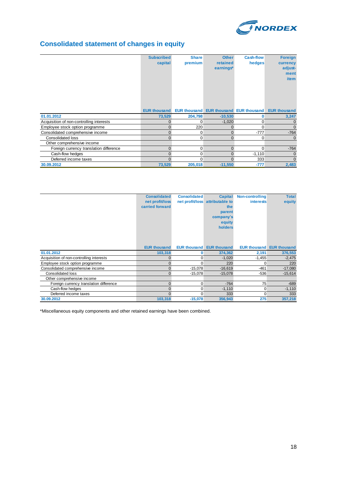

# **Consolidated statement of changes in equity**

|                                          | <b>Subscribed</b><br>capital | <b>Share</b><br>premium | <b>Other</b><br>retained<br>earnings*         | <b>Cash-flow</b><br>hedges | <b>Foreign</b><br>currency<br>adjust-<br>ment<br><b>item</b> |
|------------------------------------------|------------------------------|-------------------------|-----------------------------------------------|----------------------------|--------------------------------------------------------------|
|                                          | <b>EUR thousand</b>          |                         | <b>EUR thousand EUR thousand EUR thousand</b> |                            | <b>EUR thousand</b>                                          |
| 01.01.2012                               | 73,529                       | 204,798                 | $-10,530$                                     | O                          | 3,247                                                        |
| Acquisition of non-controlling interests |                              | 0                       | $-1,020$                                      | $\Omega$                   | 0                                                            |
| Employee stock option programme          | $\Omega$                     | 220                     | 0                                             | $\Omega$                   | $\Omega$                                                     |
| Consolidated comprehensive income        |                              | 0                       | $\mathbf{0}$                                  | $-777$                     | $-764$                                                       |
| <b>Consolidated loss</b>                 |                              | 0                       | $\mathbf{0}$                                  | $\Omega$                   | $\Omega$                                                     |
| Other comprehensive income               |                              |                         |                                               |                            |                                                              |
| Foreign currency translation difference  | $\Omega$                     | 0                       | $\mathbf{0}$                                  | $\Omega$                   | $-764$                                                       |
| Cash-flow hedges                         |                              | 0                       | 0                                             | $-1,110$                   | 0                                                            |
| Deferred income taxes                    |                              |                         | $\Omega$                                      | 333                        | $\Omega$                                                     |
| 30.09.2012                               | 73,529                       | 205,018                 | $-11,550$                                     | $-777$                     | 2,483                                                        |

|                                          | <b>Consolidated</b> | <b>Consolidated</b> | <b>Capital</b>                  | <b>Non-controlling</b> | <b>Total</b>                     |
|------------------------------------------|---------------------|---------------------|---------------------------------|------------------------|----------------------------------|
|                                          | net profit/loss     |                     | net profit/loss attributable to | <b>interests</b>       | equity                           |
|                                          | carried forward     |                     | the                             |                        |                                  |
|                                          |                     |                     | parent                          |                        |                                  |
|                                          |                     |                     | company's                       |                        |                                  |
|                                          |                     |                     | equity                          |                        |                                  |
|                                          |                     |                     | holders                         |                        |                                  |
|                                          |                     |                     |                                 |                        |                                  |
|                                          |                     |                     |                                 |                        |                                  |
|                                          |                     |                     |                                 |                        |                                  |
|                                          | <b>EUR thousand</b> | <b>EUR thousand</b> | <b>EUR thousand</b>             |                        | <b>EUR thousand EUR thousand</b> |
| 01.01.2012                               | 103,318             | 0                   | 374,362                         | 2,191                  | 376,553                          |
| Acquisition of non-controlling interests |                     | $\Omega$            | $-1,020$                        | $-1,455$               | $-2,475$                         |
| Employee stock option programme          |                     | 0                   | 220                             | 0                      | 220                              |
| Consolidated comprehensive income        | $\Omega$            | $-15,078$           | $-16,619$                       | $-461$                 | $-17,080$                        |
| Consolidated loss                        |                     | $-15.078$           | $-15.078$                       | $-536$                 | $-15.614$                        |
| Other comprehensive income               |                     |                     |                                 |                        |                                  |
| Foreign currency translation difference  |                     | 0                   | $-764$                          | 75                     | $-689$                           |
| Cash-flow hedges                         |                     | 0                   | $-1,110$                        | 0                      | $-1,110$                         |
| Deferred income taxes                    |                     | 0                   | 333                             | 0                      | 333                              |
| 30.09.2012                               | 103,318             | $-15,078$           | 356,943                         | 275                    | 357,218                          |

\*Miscellaneous equity components and other retained earnings have been combined.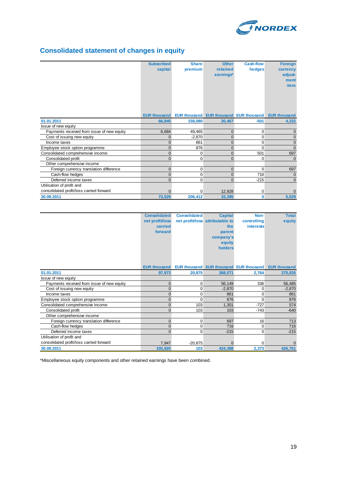

# **Consolidated statement of changes in equity**

|                                            | <b>Subscribed</b>   | <b>Share</b> | <b>Other</b>   | <b>Cash-flow</b> | <b>Foreign</b>                                      |
|--------------------------------------------|---------------------|--------------|----------------|------------------|-----------------------------------------------------|
|                                            | capital             | premium      | retained       | hedges           | currency                                            |
|                                            |                     |              | earnings*      |                  | adjust-                                             |
|                                            |                     |              |                |                  | ment                                                |
|                                            |                     |              |                |                  | <b>item</b>                                         |
|                                            |                     |              |                |                  |                                                     |
|                                            |                     |              |                |                  |                                                     |
|                                            |                     |              |                |                  |                                                     |
|                                            |                     |              |                |                  |                                                     |
|                                            | <b>EUR thousand</b> |              |                |                  | EUR thousand EUR thousand EUR thousand EUR thousand |
| 01.01.2011                                 | 66,845              | 158,080      | 20,467         | $-501$           | 4,332                                               |
| Issue of new equity                        |                     |              |                |                  |                                                     |
| Payments received from issue of new equity | 6,684               | 49,465       | $\mathbf{0}$   | 0                | 0                                                   |
| Cost of issuing new equity                 | $\Omega$            | $-2,870$     | $\mathbf{0}$   | 0                | $\overline{0}$                                      |
| Income taxes                               | $\Omega$            | 861          | $\mathbf{0}$   | 0                | $\mathbf 0$                                         |
| Employee stock option programme            | $\mathbf{0}$        | 876          | 0              | $\Omega$         | $\Omega$                                            |
| Consolidated comprehensive income          | $\Omega$            | 0            | $\overline{0}$ | 501              | 697                                                 |
| Consolidated profit                        | $\Omega$            | 0            | 0              | $\Omega$         | $\mathbf 0$                                         |
| Other comprehensive income                 |                     |              |                |                  |                                                     |
| Foreign currency translation difference    | $\mathbf{0}$        | 0            | $\mathbf{0}$   | $\Omega$         | 697                                                 |
| Cash-flow hedges                           | $\Omega$            | 0            | 0              | 716              | $\mathbf 0$                                         |
| Deferred income taxes                      | $\Omega$            | $\Omega$     | $\mathbf{0}$   | $-215$           | $\mathbf 0$                                         |
| Utilisation of profit and                  |                     |              |                |                  |                                                     |
| consolidated profit/loss carried forward   |                     | 0            | 12,928         | 0                | 0                                                   |
| 30.09.2011                                 | 73,529              | 206,412      | 33,395         | 0                | 5,029                                               |

|                                            | <b>Consolidated</b> | <b>Consolidated</b> | <b>Capital</b>                  | Non-                                                | <b>Total</b> |
|--------------------------------------------|---------------------|---------------------|---------------------------------|-----------------------------------------------------|--------------|
|                                            | net profit/loss     |                     | net profit/loss attributable to | controlling                                         | equity       |
|                                            | carried             |                     | the                             | <b>interests</b>                                    |              |
|                                            | forward             |                     | parent                          |                                                     |              |
|                                            |                     |                     | company's                       |                                                     |              |
|                                            |                     |                     | equity                          |                                                     |              |
|                                            |                     |                     | holders                         |                                                     |              |
|                                            |                     |                     |                                 |                                                     |              |
|                                            |                     |                     |                                 |                                                     |              |
|                                            | <b>EUR thousand</b> |                     |                                 | EUR thousand EUR thousand EUR thousand EUR thousand |              |
| 01.01.2011                                 | 97,973              | 20,875              | 368,071                         | 2,764                                               | 370,835      |
| Issue of new equity                        |                     |                     |                                 |                                                     |              |
| Payments received from issue of new equity | $\mathbf{0}$        | 0                   | 56,149                          | 336                                                 | 56,485       |
| Cost of issuing new equity                 | $\Omega$            | 0                   | $-2,870$                        | $\Omega$                                            | $-2,870$     |
| Income taxes                               | $\Omega$            | 0                   | 861                             | 0                                                   | 861          |
| Employee stock option programme            | $\overline{0}$      | $\Omega$            | 876                             | $\Omega$                                            | 876          |
| Consolidated comprehensive income          | 0                   | 103                 | 1,301                           | $-727$                                              | 574          |
| Consolidated profit                        | $\Omega$            | 103                 | 103                             | $-743$                                              | $-640$       |
| Other comprehensive income                 |                     |                     |                                 |                                                     |              |
| Foreign currency translation difference    | $\overline{0}$      | 0                   | 697                             | 16                                                  | 713          |
| Cash-flow hedges                           | $\Omega$            | 0                   | 716                             | $\Omega$                                            | 716          |
| Deferred income taxes                      | $\Omega$            | 0                   | $-215$                          | $\Omega$                                            | $-215$       |
| Utilisation of profit and                  |                     |                     |                                 |                                                     |              |
| consolidated profit/loss carried forward   | 7,947               | $-20,875$           | ŋ                               | $\Omega$                                            | $\Omega$     |
| 30.09.2011                                 | 105,920             | 103                 | 424,388                         | 2,373                                               | 426,761      |

\*Miscellaneous equity components and other retained earnings have been combined.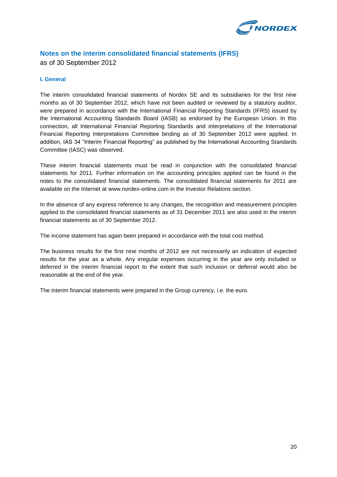

## **Notes on the interim consolidated financial statements (IFRS)** as of 30 September 2012

#### **I. General**

The interim consolidated financial statements of Nordex SE and its subsidiaries for the first nine months as of 30 September 2012, which have not been audited or reviewed by a statutory auditor, were prepared in accordance with the International Financial Reporting Standards (IFRS) issued by the International Accounting Standards Board (IASB) as endorsed by the European Union. In this connection, all International Financial Reporting Standards and interpretations of the International Financial Reporting Interpretations Committee binding as of 30 September 2012 were applied. In addition, IAS 34 "Interim Financial Reporting" as published by the International Accounting Standards Committee (IASC) was observed.

These interim financial statements must be read in conjunction with the consolidated financial statements for 2011. Further information on the accounting principles applied can be found in the notes to the consolidated financial statements. The consolidated financial statements for 2011 are available on the Internet at www.nordex-online.com in the Investor Relations section.

In the absence of any express reference to any changes, the recognition and measurement principles applied to the consolidated financial statements as of 31 December 2011 are also used in the interim financial statements as of 30 September 2012.

The income statement has again been prepared in accordance with the total cost method.

The business results for the first nine months of 2012 are not necessarily an indication of expected results for the year as a whole. Any irregular expenses occurring in the year are only included or deferred in the interim financial report to the extent that such inclusion or deferral would also be reasonable at the end of the year.

The interim financial statements were prepared in the Group currency, i.e. the euro.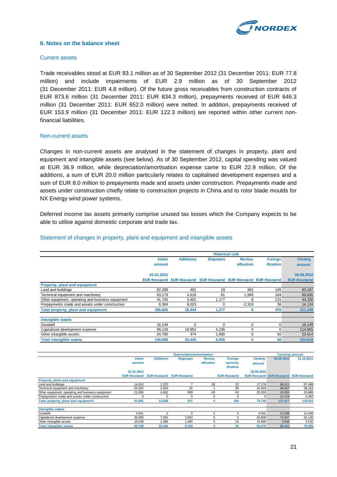

#### **II. Notes on the balance sheet**

#### Current assets

Trade receivables stood at EUR 93.1 million as of 30 September 2012 (31 December 2011: EUR 77.8 million) and include impairments of EUR 2.9 million as of 30 September 2012 (31 December 2011: EUR 4.8 million). Of the future gross receivables from construction contracts of EUR 873.6 million (31 December 2011: EUR 834.3 million), prepayments received of EUR 646.3 million (31 December 2011: EUR 652.0 million) were netted. In addition, prepayments received of EUR 153.9 million (31 December 2011: EUR 122.3 million) are reported within other current nonfinancial liabilities.

#### Non-current assets

Changes in non-current assets are analysed in the statement of changes in property, plant and equipment and intangible assets (see below). As of 30 September 2012, capital spending was valued at EUR 36.9 million, while depreciation/amortisation expense came to EUR 22.9 million. Of the additions, a sum of EUR 20.0 million particularly relates to capitalised development expenses and a sum of EUR 8.0 million to prepayments made and assets under construction. Prepayments made and assets under construction chiefly relate to construction projects in China and to rotor blade moulds for NX Energy wind power systems.

Deferred income tax assets primarily comprise unused tax losses which the Company expects to be able to utilise against domestic corporate and trade tax.

|                                                   | <b>Historical cost</b> |                                                                  |                  |            |                |                     |
|---------------------------------------------------|------------------------|------------------------------------------------------------------|------------------|------------|----------------|---------------------|
|                                                   | <b>Initial</b>         | <b>Additions</b>                                                 | <b>Disposals</b> | Reclas-    | <b>Foreign</b> | <b>Closing</b>      |
|                                                   | amount                 |                                                                  |                  | sification | ification      | amount              |
|                                                   |                        |                                                                  |                  |            |                |                     |
|                                                   | 01.01.2012             |                                                                  |                  |            |                | 30.09.2012          |
|                                                   |                        | EUR thousand EUR thousand EUR thousand EUR thousand EUR thousand |                  |            |                | <b>EUR thousand</b> |
| Property, plant and equipment                     |                        |                                                                  |                  |            |                |                     |
| Land and buildings                                | 82,298                 | 401                                                              | 19               | 362        | 145            | 83,187              |
| Technical equipment and machinery                 | 63,179                 | 4,619                                                            | 81               | 1,949      | 164            | 69,830              |
| Other equipment, operating and business equipment | 41,745                 | 3,401                                                            | 1,177            | 8          | 131            | 44,108              |
| Prepayments made and assets under construction    | 8,384                  | 8,023                                                            | 0                | $-2,319$   | 36             | 14,124              |
| <b>Total property, plant and equipment</b>        | 195,606                | 16,444                                                           | 1,277            | 0          | 476            | 211,249             |
| Intangible assets                                 |                        |                                                                  |                  |            |                |                     |
| Goodwill                                          | 16.149                 | $\Omega$                                                         | $\Omega$         | $\Omega$   | $\Omega$       | 16,149              |
| Capitalised development expense                   | 99,139                 | 19,952                                                           | 4,236            | 0          | $\Omega$       | 114,855             |
| Other intangible assets                           | 24,780                 | 474                                                              | 1,690            | 0          | 50             | 23,614              |
| <b>Total intangible assets</b>                    | 140,068                | 20,426                                                           | 5,926            | Ω          | 50             | 154,618             |

#### Statement of changes in property, plant and equipment and intangible assets

|                                                   | <b>Depreciation/amortisation</b><br><b>Carrying amount</b> |                     |                     |                |                     |                |                                               |            |
|---------------------------------------------------|------------------------------------------------------------|---------------------|---------------------|----------------|---------------------|----------------|-----------------------------------------------|------------|
|                                                   | <b>Initial</b>                                             | <b>Additions</b>    | <b>Disposals</b>    | <b>Reclas-</b> | <b>Foreign</b>      | <b>Closing</b> | 30.09.2012                                    | 31.12.2011 |
|                                                   | amount                                                     |                     |                     | sification     | currency            | amount         |                                               |            |
|                                                   |                                                            |                     |                     |                | <b>ification</b>    |                |                                               |            |
|                                                   | 01.01.2012                                                 |                     |                     |                |                     | 30.09.2012     |                                               |            |
|                                                   | <b>EUR thousand</b>                                        | <b>EUR thousand</b> | <b>EUR thousand</b> |                | <b>EUR thousand</b> |                | <b>EUR thousand EUR thousand EUR thousand</b> |            |
| Property, plant and equipment                     |                                                            |                     |                     |                |                     |                |                                               |            |
| Land and buildings                                | 14,810                                                     | 2,323               |                     | 28             | 22                  | 17,176         | 66,011                                        | 67,488     |
| Technical equipment and machinery                 | 25,025                                                     | 5,903               | 25                  |                | 99                  | 31,003         | 38,827                                        | 38,154     |
| Other equipment, operating and business equipment | 21,856                                                     | 4,602               | 939                 | $-29$          | 63                  | 25,553         | 18,555                                        | 19,889     |
| Prepayments made and assets under construction    | $\Omega$                                                   |                     | $\Omega$            |                | $\mathbf 0$         | 0              | 14,124                                        | 8,384      |
| Total property, plant and equipment               | 61,691                                                     | 12,828              | 971                 |                | 184                 | 73,732         | 137,517                                       | 133,915    |
| Intangible assets                                 |                                                            |                     |                     |                |                     |                |                                               |            |
| Goodwill                                          | 4,501                                                      |                     | $\Omega$            |                | $\mathbf 0$         | 4,501          | 11,648                                        | 11,648     |
| Capitalised development expense                   | 36.999                                                     | 7.662               | 3.853               |                | $\mathbf 0$         | 40.808         | 74.047                                        | 62,140     |
| Other intangible assets                           | 19,248                                                     | 2,384               | 1,690               |                | 24                  | 19,966         | 3,648                                         | 5,532      |
| <b>Total intangible assets</b>                    | 60.748                                                     | 10.046              | 5,543               |                | 24                  | 65.275         | 89.343                                        | 79,320     |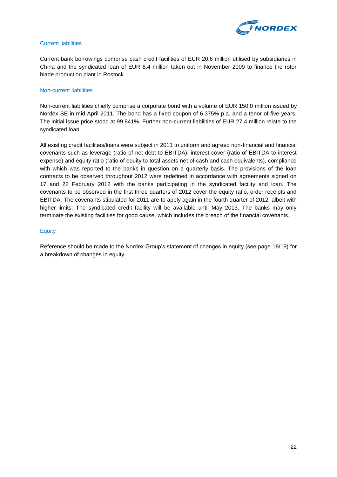

#### Current liabilities

Current bank borrowings comprise cash credit facilities of EUR 20.6 million utilised by subsidiaries in China and the syndicated loan of EUR 8.4 million taken out in November 2009 to finance the rotor blade production plant in Rostock.

#### Non-current liabilities

Non-current liabilities chiefly comprise a corporate bond with a volume of EUR 150.0 million issued by Nordex SE in mid April 2011. The bond has a fixed coupon of 6.375% p.a. and a tenor of five years. The initial issue price stood at 99.841%. Further non-current liabilities of EUR 27.4 million relate to the syndicated loan.

All existing credit facilities/loans were subject in 2011 to uniform and agreed non-financial and financial covenants such as leverage (ratio of net debt to EBITDA), interest cover (ratio of EBITDA to interest expense) and equity ratio (ratio of equity to total assets net of cash and cash equivalents), compliance with which was reported to the banks in question on a quarterly basis. The provisions of the loan contracts to be observed throughout 2012 were redefined in accordance with agreements signed on 17 and 22 February 2012 with the banks participating in the syndicated facility and loan. The covenants to be observed in the first three quarters of 2012 cover the equity ratio, order receipts and EBITDA. The covenants stipulated for 2011 are to apply again in the fourth quarter of 2012, albeit with higher limits. The syndicated credit facility will be available until May 2013. The banks may only terminate the existing facilities for good cause, which includes the breach of the financial covenants.

#### **Equity**

Reference should be made to the Nordex Group's statement of changes in equity (see page 18/19) for a breakdown of changes in equity.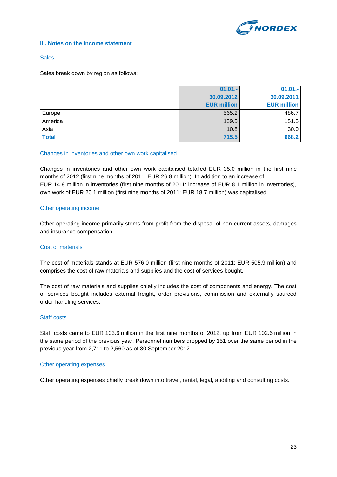

#### **III. Notes on the income statement**

#### **Sales**

Sales break down by region as follows:

|              | $01.01 -$          | $01.01 -$          |
|--------------|--------------------|--------------------|
|              | 30.09.2012         | 30.09.2011         |
|              | <b>EUR million</b> | <b>EUR million</b> |
| Europe       | 565.2              | 486.7              |
| America      | 139.5              | 151.5              |
| Asia         | 10.8               | 30.0               |
| <b>Total</b> | 715.5              | 668.2              |

#### Changes in inventories and other own work capitalised

Changes in inventories and other own work capitalised totalled EUR 35.0 million in the first nine months of 2012 (first nine months of 2011: EUR 26.8 million). In addition to an increase of EUR 14.9 million in inventories (first nine months of 2011: increase of EUR 8.1 million in inventories), own work of EUR 20.1 million (first nine months of 2011: EUR 18.7 million) was capitalised.

#### Other operating income

Other operating income primarily stems from profit from the disposal of non-current assets, damages and insurance compensation.

#### Cost of materials

The cost of materials stands at EUR 576.0 million (first nine months of 2011: EUR 505.9 million) and comprises the cost of raw materials and supplies and the cost of services bought.

The cost of raw materials and supplies chiefly includes the cost of components and energy. The cost of services bought includes external freight, order provisions, commission and externally sourced order-handling services.

#### Staff costs

Staff costs came to EUR 103.6 million in the first nine months of 2012, up from EUR 102.6 million in the same period of the previous year. Personnel numbers dropped by 151 over the same period in the previous year from 2,711 to 2,560 as of 30 September 2012.

#### Other operating expenses

Other operating expenses chiefly break down into travel, rental, legal, auditing and consulting costs.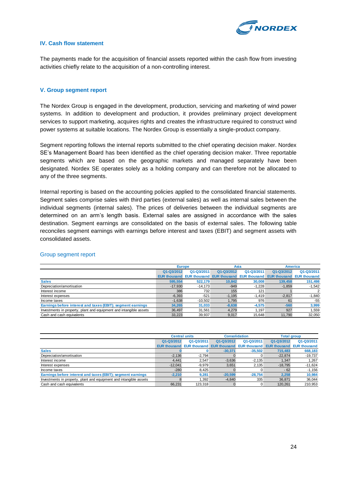

#### **IV. Cash flow statement**

The payments made for the acquisition of financial assets reported within the cash flow from investing activities chiefly relate to the acquisition of a non-controlling interest.

#### **V. Group segment report**

The Nordex Group is engaged in the development, production, servicing and marketing of wind power systems. In addition to development and production, it provides preliminary project development services to support marketing, acquires rights and creates the infrastructure required to construct wind power systems at suitable locations. The Nordex Group is essentially a single-product company.

Segment reporting follows the internal reports submitted to the chief operating decision maker. Nordex SE's Management Board has been identified as the chief operating decision maker. Three reportable segments which are based on the geographic markets and managed separately have been designated. Nordex SE operates solely as a holding company and can therefore not be allocated to any of the three segments.

Internal reporting is based on the accounting policies applied to the consolidated financial statements. Segment sales comprise sales with third parties (external sales) as well as internal sales between the individual segments (internal sales). The prices of deliveries between the individual segments are determined on an arm's length basis. External sales are assigned in accordance with the sales destination. Segment earnings are consolidated on the basis of external sales. The following table reconciles segment earnings with earnings before interest and taxes (EBIT) and segment assets with consolidated assets.

|                                                                    |                     | <b>Europe</b> |                                               | Asia       | <b>America</b> |                                  |
|--------------------------------------------------------------------|---------------------|---------------|-----------------------------------------------|------------|----------------|----------------------------------|
|                                                                    | Q1-Q3/2012          | Q1-Q3/2011    | Q1-Q3/2012                                    | Q1-Q3/2011 | Q1-Q3/2012     | Q1-Q3/2011                       |
|                                                                    | <b>EUR thousand</b> |               | <b>EUR thousand EUR thousand EUR thousand</b> |            |                | <b>EUR thousand EUR thousand</b> |
| <b>Sales</b>                                                       | 595.554             | 522.179       | 10.842                                        | 30,008     | 139,458        | 151,498                          |
| Depreciation/amortisation                                          | $-17.930$           | $-14.173$     | $-949$                                        | $-1.228$   | $-1,859$       | $-1,542$                         |
| Interest income                                                    | 386                 | 732           | 155                                           | 121        |                |                                  |
| Interest expenses                                                  | $-6,393$            | $-521$        | $-1.195$                                      | $-1.419$   | $-2.817$       | $-1.840$                         |
| Income taxes                                                       | $-1,638$            | $-10.502$     | 1,795                                         | 976        | 61             | $-55$                            |
| Earnings before interest and taxes (EBIT); segment earnings        | 34,265              | 31,033        | $-8.638$                                      | $-4.575$   | $-560$         | 3,999                            |
| Investments in property, plant and equipment and intangible assets | 36.497              | 31.561        | 4.279                                         | 1.197      | 927            | .559                             |
| Cash and cash equivalents                                          | 33.223              | 39.937        | 9.017                                         | 15.648     | 11.790         | 32.050                           |

#### Group segment report

|                                                                    | <b>Central units</b> |            | <b>Consolidation</b>                                       |            | <b>Total group</b> |                                  |
|--------------------------------------------------------------------|----------------------|------------|------------------------------------------------------------|------------|--------------------|----------------------------------|
|                                                                    | Q1-Q3/2012           | Q1-Q3/2011 | Q1-Q3/2012                                                 | Q1-Q3/2011 | Q1-Q3/2012         | Q1-Q3/2011                       |
|                                                                    |                      |            | <b>EUR thousand EUR thousand EUR thousand EUR thousand</b> |            |                    | <b>EUR thousand EUR thousand</b> |
| <b>Sales</b>                                                       |                      |            | $-30,371$                                                  | $-35,502$  | 715,483            | 668,183                          |
| Depreciation/amortisation                                          | $-2.136$             | $-2.794$   |                                                            | υ          | $-22.874$          | $-19,737$                        |
| Interest income                                                    | 4.441                | 2.547      | $-3.636$                                                   | $-2.135$   | 1.347              | 1,267                            |
| Interest expenses                                                  | $-12.041$            | $-9.979$   | 3,651                                                      | 2,135      | $-18,795$          | $-11,624$                        |
| Income taxes                                                       | $-280$               | 8.425      |                                                            |            | $-62$              | $-1,156$                         |
| Earnings before interest and taxes (EBIT); segment earnings        | $-2,210$             | 9,281      | $-20.599$                                                  | $-28.754$  | 2.258              | 10,984                           |
| Investments in property, plant and equipment and intangible assets |                      | 1.392      | $-4.840$                                                   | 335        | 36.871             | 36,044                           |
| Cash and cash equivalents                                          | 66.231               | 123.318    |                                                            | 0          | 120.261            | 210.953                          |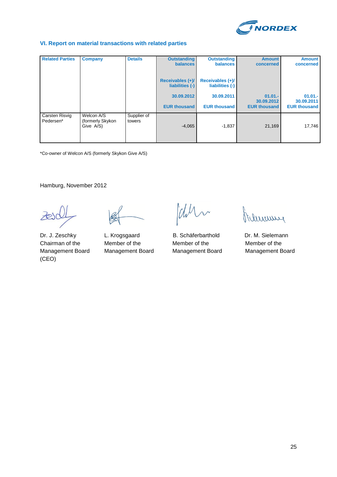

#### **VI. Report on material transactions with related parties**

| <b>Related Parties</b>      | <b>Company</b>                              | <b>Details</b>        | <b>Outstanding</b>                    | <b>Outstanding</b>                  | <b>Amount</b>           | <b>Amount</b>           |
|-----------------------------|---------------------------------------------|-----------------------|---------------------------------------|-------------------------------------|-------------------------|-------------------------|
|                             |                                             |                       | <b>balances</b>                       | <b>balances</b>                     | concerned               | concerned               |
|                             |                                             |                       | Receivables $(+)/$<br>liabilities (-) | Receivables (+)/<br>liabilities (-) |                         |                         |
|                             |                                             |                       | 30.09.2012                            | 30.09.2011                          | $01.01 -$<br>30.09.2012 | $01.01 -$<br>30.09.2011 |
|                             |                                             |                       | <b>EUR thousand</b>                   | <b>EUR thousand</b>                 | <b>EUR thousand</b>     | <b>EUR thousand</b>     |
| Carsten Risvig<br>Pedersen* | Welcon A/S<br>(formerly Skykon<br>Give A/S) | Supplier of<br>towers | $-4,065$                              | $-1,837$                            | 21,169                  | 17,746                  |
|                             |                                             |                       |                                       |                                     |                         |                         |

\*Co-owner of Welcon A/S (formerly Skykon Give A/S)

Hamburg, November 2012

(CEO)

Dr. J. Zeschky L. Krogsgaard B. Schäferbarthold Dr. M. Sielemann Chairman of the Member of the Member of the Member of the Management Board Management Board Management Board Management Board

Chin

Immy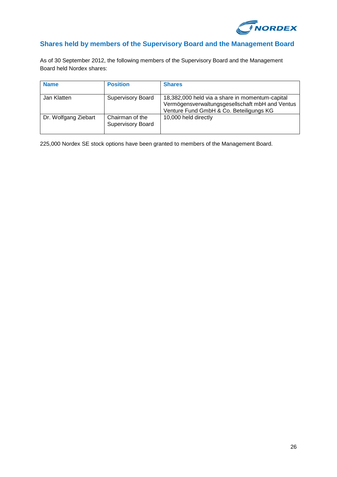

## **Shares held by members of the Supervisory Board and the Management Board**

As of 30 September 2012, the following members of the Supervisory Board and the Management Board held Nordex shares:

| <b>Name</b>          | <b>Position</b>                             | <b>Shares</b>                                                                                                                                 |
|----------------------|---------------------------------------------|-----------------------------------------------------------------------------------------------------------------------------------------------|
| Jan Klatten          | <b>Supervisory Board</b>                    | 18,382,000 held via a share in momentum-capital<br>Vermögensverwaltungsgesellschaft mbH and Ventus<br>Venture Fund GmbH & Co. Beteiligungs KG |
| Dr. Wolfgang Ziebart | Chairman of the<br><b>Supervisory Board</b> | 10,000 held directly                                                                                                                          |

225,000 Nordex SE stock options have been granted to members of the Management Board.